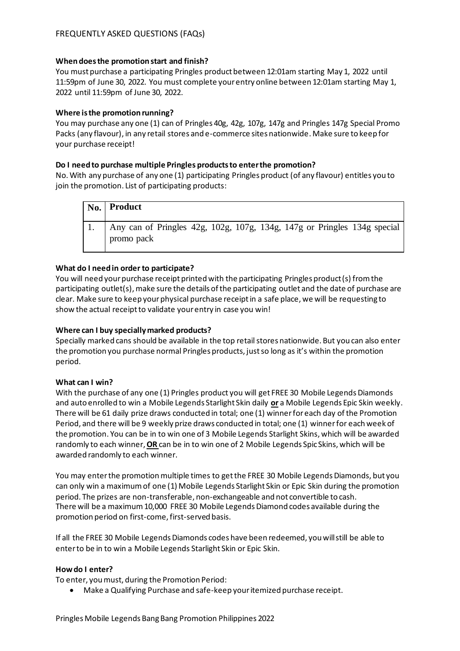## **When does the promotion start and finish?**

You must purchase a participating Pringles product between 12:01am starting May 1, 2022 until 11:59pm of June 30, 2022. You must complete your entry online between 12:01am starting May 1, 2022 until 11:59pm of June 30, 2022.

## **Where is the promotion running?**

You may purchase any one (1) can of Pringles 40g, 42g, 107g, 147g and Pringles 147g Special Promo Packs (any flavour), in any retail stores and e-commerce sites nationwide. Make sure to keep for your purchase receipt!

## **Do I need to purchase multiple Pringles products to enter the promotion?**

No. With any purchase of any one (1) participating Pringles product (of any flavour) entitles you to join the promotion. List of participating products:

| $\vert$ No. $\vert$ Product                                                            |
|----------------------------------------------------------------------------------------|
| Any can of Pringles 42g, 102g, 107g, 134g, 147g or Pringles 134g special<br>promo pack |

### **What do I need in order to participate?**

You will need your purchase receipt printed with the participating Pringles product (s) from the participating outlet(s), make sure the details of the participating outlet and the date of purchase are clear. Make sure to keep your physical purchase receipt in a safe place, we will be requesting to show the actual receipt to validate your entry in case you win!

## **Where can I buy specially marked products?**

Specially marked cans should be available in the top retail stores nationwide. But you can also enter the promotion you purchase normal Pringles products, just so long as it's within the promotion period.

### **What can I win?**

With the purchase of any one (1) Pringles product you will get FREE 30 Mobile Legends Diamonds and auto enrolled to win a Mobile Legends Starlight Skin daily **or** a Mobile Legends Epic Skin weekly. There will be 61 daily prize draws conducted in total; one (1) winner for each day of the Promotion Period, and there will be 9 weekly prize draws conducted in total; one (1) winnerfor each week of the promotion. You can be in to win one of 3 Mobile Legends Starlight Skins, which will be awarded randomly to each winner, **OR** can be in to win one of 2 Mobile Legends Spic Skins, which will be awarded randomly to each winner.

You may enter the promotion multiple times to get the FREE 30 Mobile Legends Diamonds, but you can only win a maximum of one (1) Mobile Legends Starlight Skin or Epic Skin during the promotion period. The prizes are non-transferable, non-exchangeable and not convertible to cash. There will be a maximum 10,000 FREE 30 Mobile Legends Diamond codes available during the promotion period on first-come, first-served basis.

If all the FREE 30 Mobile Legends Diamonds codes have been redeemed, you will still be able to enter to be in to win a Mobile Legends Starlight Skin or Epic Skin.

## **How do I enter?**

To enter, you must, during the Promotion Period:

• Make a Qualifying Purchase and safe-keep your itemized purchase receipt.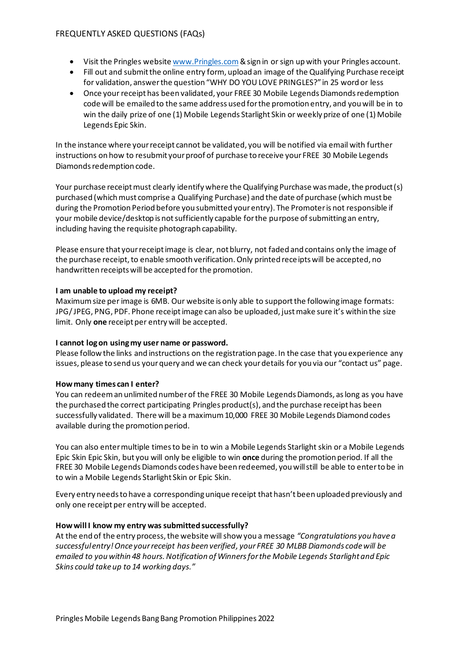### FREQUENTLY ASKED QUESTIONS (FAQs)

- Visit the Pringles website [www.Pringles.com](http://www.pringles.com/)& sign in or sign up with your Pringles account.
- Fill out and submit the online entry form, upload an image of the Qualifying Purchase receipt for validation, answer the question "WHY DO YOU LOVE PRINGLES?" in 25 word or less
- Once your receipt has been validated, your FREE 30 Mobile Legends Diamonds redemption code will be emailed to the same address used for the promotion entry, and you will be in to win the daily prize of one (1) Mobile Legends Starlight Skin or weekly prize of one (1) Mobile Legends Epic Skin.

In the instance where your receipt cannot be validated, you will be notified via email with further instructions on how to resubmit your proof of purchase to receive your FREE 30 Mobile Legends Diamonds redemption code.

Your purchase receipt must clearly identify where the Qualifying Purchase was made, the product(s) purchased (which must comprise a Qualifying Purchase) and the date of purchase (which must be during the Promotion Period before you submitted your entry). The Promoter is not responsible if your mobile device/desktop is not sufficiently capable for the purpose of submitting an entry, including having the requisite photograph capability.

Please ensure that your receipt image is clear, not blurry, not faded and contains only the image of the purchase receipt, to enable smooth verification. Only printed receipts will be accepted, no handwritten receipts will be accepted for the promotion.

### **I am unable to upload my receipt?**

Maximum size per image is 6MB. Our website is only able to support the following image formats: JPG/ JPEG, PNG, PDF. Phone receipt image can also be uploaded, just make sure it's within the size limit. Only **one** receipt per entry will be accepted.

### **I cannot log on using my user name or password.**

Please follow the links and instructions on the registration page. In the case that you experience any issues, please to send us your query and we can check your details for you via our "contact us" page.

### **How many times can I enter?**

You can redeem an unlimited number of the FREE 30 Mobile Legends Diamonds, as long as you have the purchased the correct participating Pringles product(s), and the purchase receipt has been successfully validated. There will be a maximum 10,000 FREE 30 Mobile Legends Diamond codes available during the promotion period.

You can also enter multiple times to be in to win a Mobile Legends Starlight skin or a Mobile Legends Epic Skin Epic Skin, but you will only be eligible to win **once** during the promotion period. If all the FREE 30 Mobile Legends Diamonds codes have been redeemed, you will still be able to enter to be in to win a Mobile Legends Starlight Skin or Epic Skin.

Every entry needs to have a corresponding unique receipt that hasn't been uploaded previously and only one receipt per entry will be accepted.

### **How will I know my entry was submitted successfully?**

At the end of the entry process, the website will show you a message *"Congratulations you have a successful entry! Once your receipt has been verified, your FREE 30 MLBB Diamonds code will be emailed to you within 48 hours. Notification of Winners for the Mobile Legends Starlight and Epic Skins could take up to 14 working days."*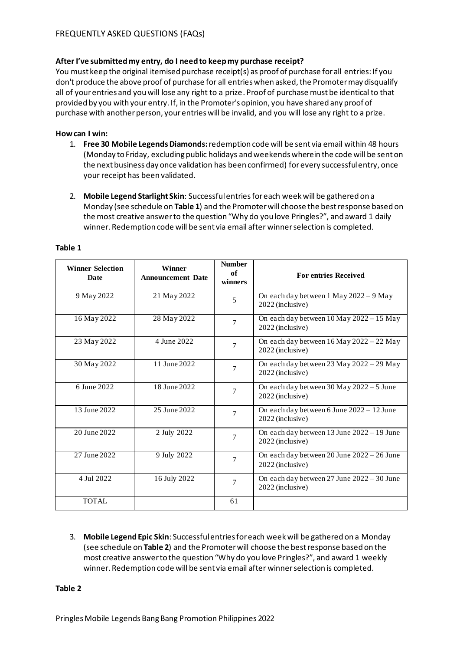# **After I've submitted my entry, do I need to keep my purchase receipt?**

You must keep the original itemised purchase receipt(s) as proof of purchase for all entries: If you don't produce the above proof of purchase for all entries when asked, the Promoter may disqualify all of your entries and you will lose any right to a prize. Proof of purchase must be identical to that provided by you with your entry. If, in the Promoter's opinion, you have shared any proof of purchase with another person, your entries will be invalid, and you will lose any right to a prize.

## **How can I win:**

- 1. **Free 30 Mobile Legends Diamonds:** redemption code will be sent via email within 48 hours (Monday to Friday, excluding public holidays and weekends wherein the code will be sent on the next business day once validation has been confirmed) forevery successful entry, once your receipt has been validated.
- 2. **Mobile Legend Starlight Skin**: Successful entries for each week will be gathered on a Monday (see schedule on **Table 1**) and the Promoter will choose the best response based on the most creative answer to the question "Why do you love Pringles?", and award 1 daily winner. Redemption code will be sent via email after winner selection is completed.

| <b>Winner Selection</b><br>Date | <b>Winner</b><br><b>Announcement Date</b> | <b>Number</b><br>of<br>winners | <b>For entries Received</b>                                      |
|---------------------------------|-------------------------------------------|--------------------------------|------------------------------------------------------------------|
| 9 May 2022                      | 21 May 2022                               | 5                              | On each day between 1 May 2022 - 9 May<br>2022 (inclusive)       |
| 16 May 2022                     | 28 May 2022                               | 7                              | On each day between 10 May 2022 - 15 May<br>2022 (inclusive)     |
| 23 May 2022                     | 4 June 2022                               | $\tau$                         | On each day between 16 May 2022 - 22 May<br>2022 (inclusive)     |
| 30 May 2022                     | 11 June 2022                              | 7                              | On each day between $23$ May $2022 - 29$ May<br>2022 (inclusive) |
| 6 June 2022                     | 18 June 2022                              | 7                              | On each day between 30 May 2022 - 5 June<br>2022 (inclusive)     |
| 13 June 2022                    | 25 June 2022                              | 7                              | On each day between 6 June 2022 - 12 June<br>2022 (inclusive)    |
| 20 June 2022                    | 2 July 2022                               | 7                              | On each day between 13 June 2022 - 19 June<br>2022 (inclusive)   |
| 27 June 2022                    | 9 July 2022                               | 7                              | On each day between 20 June 2022 - 26 June<br>2022 (inclusive)   |
| 4 Jul 2022                      | 16 July 2022                              | 7                              | On each day between 27 June 2022 - 30 June<br>2022 (inclusive)   |
| <b>TOTAL</b>                    |                                           | 61                             |                                                                  |

### **Table 1**

3. **Mobile Legend Epic Skin**: Successful entries for each week will be gathered on a Monday (see schedule on **Table 2**) and the Promoter will choose the best response based on the most creative answer to the question "Why do you love Pringles?", and award 1 weekly winner. Redemption code will be sent via email after winner selection is completed.

**Table 2**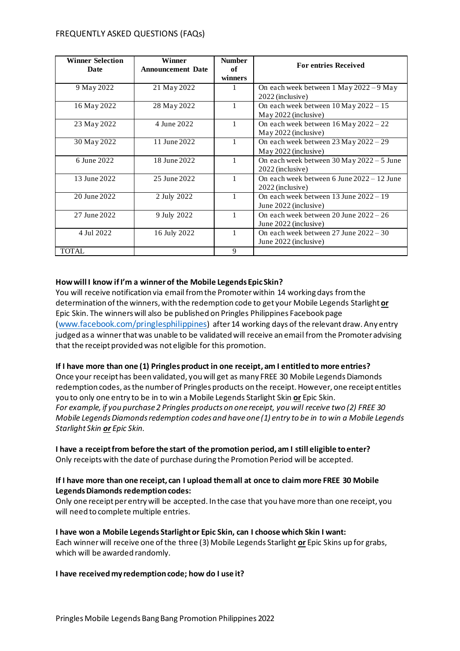### FREQUENTLY ASKED QUESTIONS (FAQs)

| <b>Winner Selection</b><br>Date | Winner<br><b>Announcement Date</b> | <b>Number</b><br>of | <b>For entries Received</b>                                                |
|---------------------------------|------------------------------------|---------------------|----------------------------------------------------------------------------|
|                                 |                                    | winners             |                                                                            |
| 9 May 2022                      | 21 May 2022                        |                     | On each week between $1$ May $2022 - 9$ May<br>2022 (inclusive)            |
| 16 May 2022                     | 28 May 2022                        |                     | On each week between $10$ May $2022 - 15$<br>May 2022 (inclusive)          |
| 23 May 2022                     | 4 June 2022                        | 1                   | On each week between $16$ May $2022 - 22$<br>May 2022 (inclusive)          |
| 30 May 2022                     | 11 June 2022                       |                     | On each week between $23$ May $2022 - 29$<br>May 2022 (inclusive)          |
| 6 June 2022                     | 18 June 2022                       |                     | On each week between $30$ May $2022 - 5$ June<br>2022 (inclusive)          |
| 13 June 2022                    | 25 June 2022                       |                     | On each week between 6 June $2022 - 12$ June<br>2022 (inclusive)           |
| 20 June 2022                    | 2 July 2022                        |                     | On each week between $13$ June $2022 - 19$<br>June 2022 (inclusive)        |
| 27 June 2022                    | 9 July 2022                        | 1                   | On each week between $20 \text{ June } 2022 - 26$<br>June 2022 (inclusive) |
| 4 Jul 2022                      | 16 July 2022                       |                     | On each week between 27 June $2022 - 30$<br>June 2022 (inclusive)          |
| <b>TOTAL</b>                    |                                    | 9                   |                                                                            |

## **How will I know if I'm a winner of the Mobile Legends Epic Skin?**

You will receive notification via email from the Promoter within 14 working days from the determination of the winners, with the redemption code to get your Mobile Legends Starlight **or** Epic Skin. The winners will also be published on Pringles Philippines Facebook page ([www.facebook.com/pringlesphilippines](http://www.facebook.com/pringlesphilippines)) after14 working days of the relevant draw. Any entry judged as a winner that was unable to be validated will receive an email from the Promoter advising that the receipt provided was not eligible for this promotion.

## **If I have more than one (1) Pringles product in one receipt, am I entitled to more entries?**

Once your receipt has been validated, you will get as many FREE 30 Mobile Legends Diamonds redemption codes, as the number of Pringles products on the receipt. However, one receipt entitles you to only one entry to be in to win a Mobile Legends Starlight Skin **or** Epic Skin. *For example, if you purchase 2 Pringles products on one receipt, you will receive two (2) FREE 30 Mobile Legends Diamonds redemption codes and have one (1) entry to be in to win a Mobile Legends Starlight Skin or Epic Skin.*

### **I have a receipt from before the start of the promotion period, am I still eligible to enter?** Only receipts with the date of purchase during the Promotion Period will be accepted.

### **If I have more than one receipt, can I upload them all at once to claim more FREE 30 Mobile Legends Diamonds redemption codes:**

Only one receipt per entry will be accepted. In the case that you have more than one receipt, you will need to complete multiple entries.

### **I have won a Mobile Legends Starlight or Epic Skin, can I choose which Skin I want:**

Each winner will receive one of the three (3) Mobile Legends Starlight **or** Epic Skins up for grabs, which will be awarded randomly.

### **I have received my redemption code; how do I use it?**